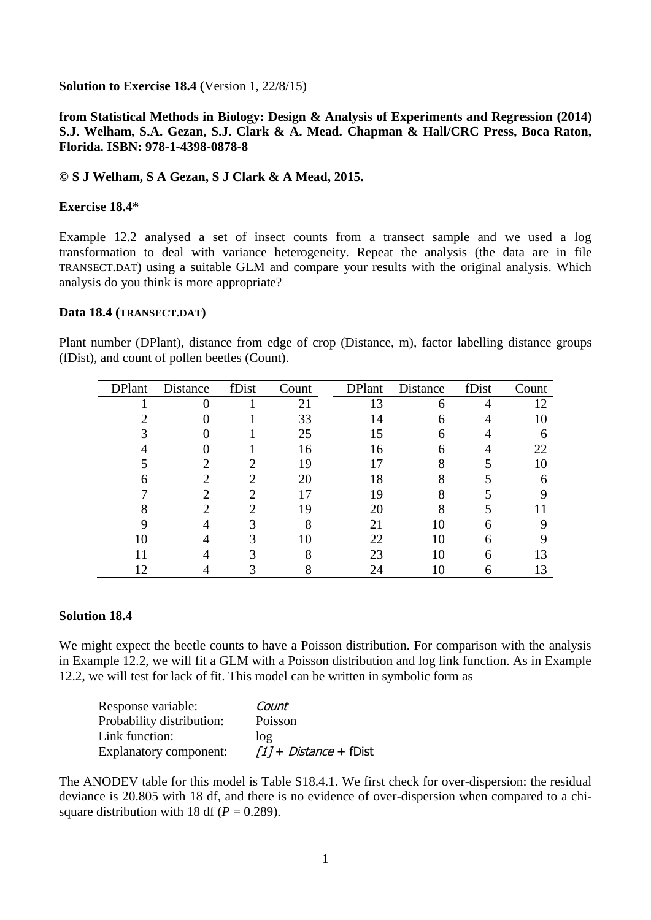**Solution to Exercise 18.4 (**Version 1, 22/8/15)

# **from Statistical Methods in Biology: Design & Analysis of Experiments and Regression (2014) S.J. Welham, S.A. Gezan, S.J. Clark & A. Mead. Chapman & Hall/CRC Press, Boca Raton, Florida. ISBN: 978-1-4398-0878-8**

## **© S J Welham, S A Gezan, S J Clark & A Mead, 2015.**

### **Exercise 18.4\***

Example 12.2 analysed a set of insect counts from a transect sample and we used a log transformation to deal with variance heterogeneity. Repeat the analysis (the data are in file TRANSECT.DAT) using a suitable GLM and compare your results with the original analysis. Which analysis do you think is more appropriate?

#### **Data 18.4 (TRANSECT.DAT)**

Plant number (DPlant), distance from edge of crop (Distance, m), factor labelling distance groups (fDist), and count of pollen beetles (Count).

| <b>DPlant</b> | Distance | fDist | Count | <b>DPlant</b> | Distance | fDist | Count |
|---------------|----------|-------|-------|---------------|----------|-------|-------|
|               |          |       | 21    | 13            | 6        |       | 12    |
|               |          |       | 33    | 14            |          |       |       |
|               |          |       | 25    | 15            | 6        |       | 6     |
|               |          |       | 16    | 16            | 6        |       | 22    |
|               |          |       | 19    |               | 8        |       |       |
|               |          |       | 20    | 18            |          |       | n     |
|               |          |       |       | 19            |          |       |       |
|               |          |       | 19    | 20            |          |       |       |
|               |          |       |       | 21            | 10       |       |       |
|               |          |       | 10    | 22            | 10       | 6     |       |
|               |          |       |       | 23            | 10       | 6     |       |
|               |          |       |       | 24            |          | 6     |       |

# **Solution 18.4**

We might expect the beetle counts to have a Poisson distribution. For comparison with the analysis in Example 12.2, we will fit a GLM with a Poisson distribution and log link function. As in Example 12.2, we will test for lack of fit. This model can be written in symbolic form as

| Response variable:            | Count                           |
|-------------------------------|---------------------------------|
| Probability distribution:     | Poisson                         |
| Link function:                | $\log$                          |
| <b>Explanatory component:</b> | $[1]$ + <i>Distance</i> + fDist |

The ANODEV table for this model is Table S18.4.1. We first check for over-dispersion: the residual deviance is 20.805 with 18 df, and there is no evidence of over-dispersion when compared to a chisquare distribution with 18 df  $(P = 0.289)$ .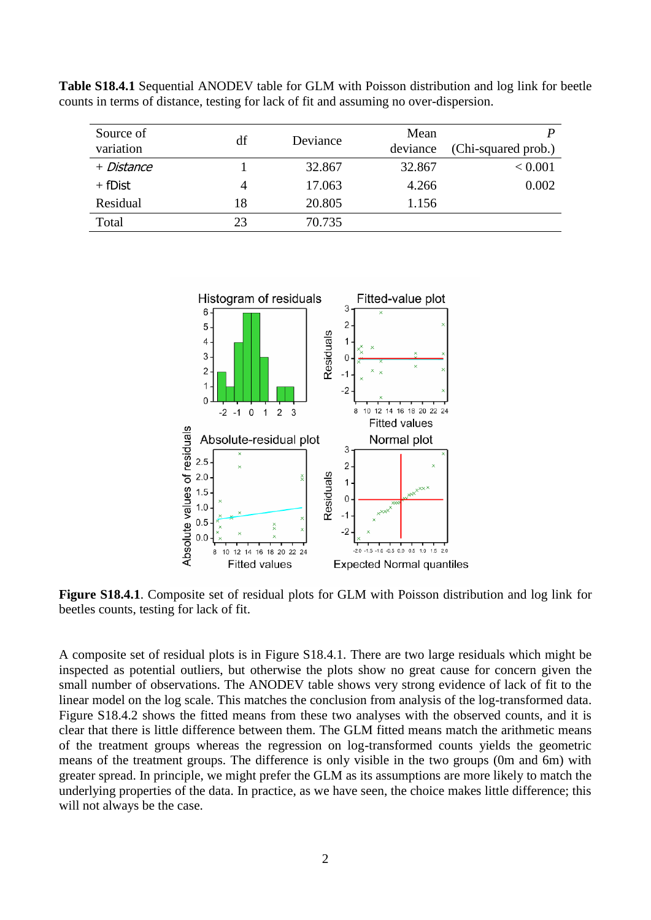| Source of<br>variation | df | Deviance | Mean<br>deviance | (Chi-squared prob.) |
|------------------------|----|----------|------------------|---------------------|
| + Distance             |    | 32.867   | 32.867           | < 0.001             |
| $+$ fDist              | 4  | 17.063   | 4.266            | 0.002               |
| Residual               | 18 | 20.805   | 1.156            |                     |
| Total                  | 23 | 70.735   |                  |                     |

**Table S18.4.1** Sequential ANODEV table for GLM with Poisson distribution and log link for beetle counts in terms of distance, testing for lack of fit and assuming no over-dispersion.



**Figure S18.4.1**. Composite set of residual plots for GLM with Poisson distribution and log link for beetles counts, testing for lack of fit.

A composite set of residual plots is in Figure S18.4.1. There are two large residuals which might be inspected as potential outliers, but otherwise the plots show no great cause for concern given the small number of observations. The ANODEV table shows very strong evidence of lack of fit to the linear model on the log scale. This matches the conclusion from analysis of the log-transformed data. Figure S18.4.2 shows the fitted means from these two analyses with the observed counts, and it is clear that there is little difference between them. The GLM fitted means match the arithmetic means of the treatment groups whereas the regression on log-transformed counts yields the geometric means of the treatment groups. The difference is only visible in the two groups (0m and 6m) with greater spread. In principle, we might prefer the GLM as its assumptions are more likely to match the underlying properties of the data. In practice, as we have seen, the choice makes little difference; this will not always be the case.